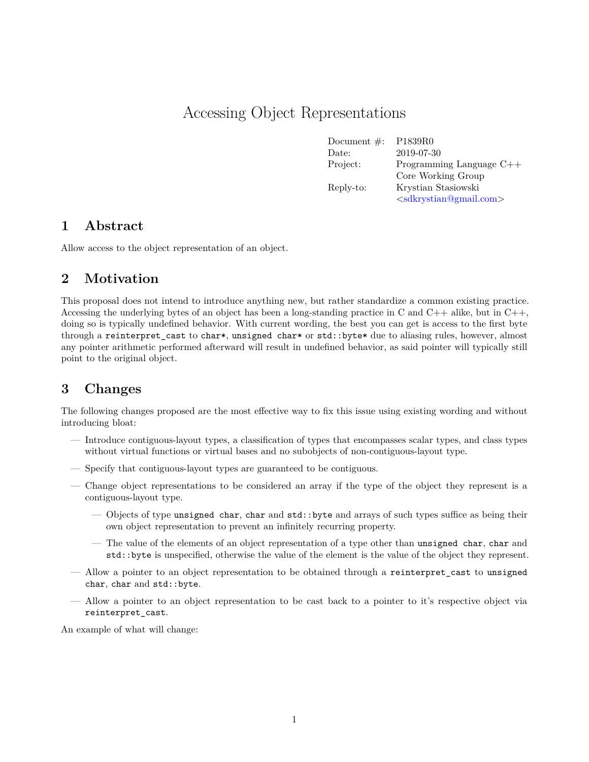## Accessing Object Representations

Document #: P1839R0 Date: 2019-07-30 Project: Programming Language C++ Core Working Group Reply-to: Krystian Stasiowski  $\langle$ sdkrystian@gmail.com $\rangle$ 

#### **1 Abstract**

Allow access to the object representation of an object.

#### **2 Motivation**

This proposal does not intend to introduce anything new, but rather standardize a common existing practice. Accessing the underlying bytes of an object has been a long-standing practice in C and  $C++$  alike, but in  $C++$ , doing so is typically undefined behavior. With current wording, the best you can get is access to the first byte through a reinterpret cast to char\*, unsigned char\* or std::byte\* due to aliasing rules, however, almost any pointer arithmetic performed afterward will result in undefined behavior, as said pointer will typically still point to the original object.

#### **3 Changes**

The following changes proposed are the most effective way to fix this issue using existing wording and without introducing bloat:

- Introduce contiguous-layout types, a classification of types that encompasses scalar types, and class types without virtual functions or virtual bases and no subobjects of non-contiguous-layout type.
- Specify that contiguous-layout types are guaranteed to be contiguous.
- Change object representations to be considered an array if the type of the object they represent is a contiguous-layout type.
	- Objects of type unsigned char, char and std::byte and arrays of such types suffice as being their own object representation to prevent an infinitely recurring property.
	- The value of the elements of an object representation of a type other than unsigned char, char and std::byte is unspecified, otherwise the value of the element is the value of the object they represent.
- Allow a pointer to an object representation to be obtained through a reinterpret\_cast to unsigned char, char and std::byte.
- Allow a pointer to an object representation to be cast back to a pointer to it's respective object via reinterpret\_cast.

An example of what will change: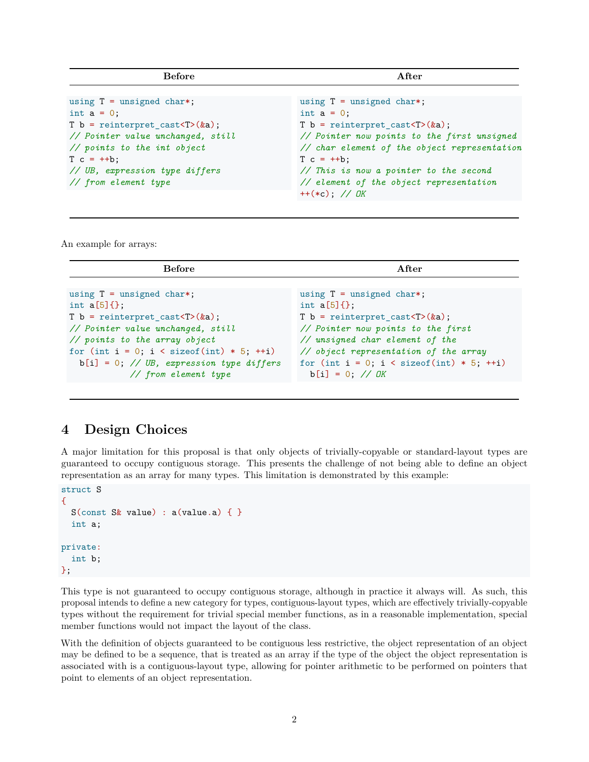| <b>Before</b>                                           | After                                        |
|---------------------------------------------------------|----------------------------------------------|
| using $T =$ unsigned char*;                             | using $T =$ unsigned char*;                  |
| int $a = 0$ ;                                           | int $a = 0$ ;                                |
| T $b =$ reinterpret_cast <t>(<math>\&amp;a</math>);</t> | $T b =$ reinterpret_cast <t>(&amp;a);</t>    |
| // Pointer value unchanged, still                       | // Pointer now points to the first unsigned  |
| $\frac{1}{2}$ points to the int object                  | // char element of the object representation |
| $T c = ++b$ ;                                           | $T c = ++b$ ;                                |
| // UB, expression type differs                          | // This is now a pointer to the second       |
| // from element type                                    | // element of the object representation      |

An example for arrays:

| <b>Before</b>                                          | After                                                   |
|--------------------------------------------------------|---------------------------------------------------------|
|                                                        |                                                         |
| using $T =$ unsigned char*;                            | using $T =$ unsigned char*;                             |
| int $a[5]$ { };                                        | int $a[5]$ { };                                         |
| T b = reinterpret_cast <t><math>(ka)</math>;</t>       | T $b =$ reinterpret_cast <t>(<math>\&amp;a</math>);</t> |
| // Pointer value unchanged, still                      | // Pointer now points to the first                      |
| // points to the array object                          | // unsigned char element of the                         |
| for (int $i = 0$ ; $i <$ size of (int) $* 5$ ; $++i$ ) | // object representation of the array                   |
| $b[i] = 0$ ; // UB, expression type differs            | for (int $i = 0$ ; $i <$ size of (int) $* 5$ ; $++i$ )  |
| // from element type                                   | $b[i] = 0$ ; // <i>OK</i>                               |

#### **4 Design Choices**

A major limitation for this proposal is that only objects of trivially-copyable or standard-layout types are guaranteed to occupy contiguous storage. This presents the challenge of not being able to define an object representation as an array for many types. This limitation is demonstrated by this example:

```
struct S
{
  S(const S\& value) : a(value.a) { }
  int a;
private:
  int b;
};
```
This type is not guaranteed to occupy contiguous storage, although in practice it always will. As such, this proposal intends to define a new category for types, contiguous-layout types, which are effectively trivially-copyable types without the requirement for trivial special member functions, as in a reasonable implementation, special member functions would not impact the layout of the class.

With the definition of objects guaranteed to be contiguous less restrictive, the object representation of an object may be defined to be a sequence, that is treated as an array if the type of the object the object representation is associated with is a contiguous-layout type, allowing for pointer arithmetic to be performed on pointers that point to elements of an object representation.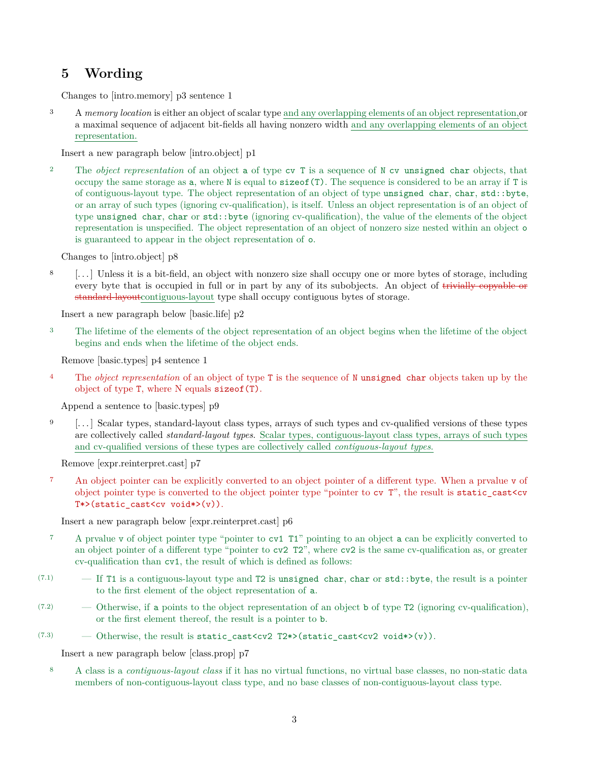### **5 Wording**

Changes to [intro.memory] p3 sentence 1

<sup>3</sup> A *memory location* is either an object of scalar type and any overlapping elements of an object representation,or a maximal sequence of adjacent bit-fields all having nonzero width and any overlapping elements of an object representation.

Insert a new paragraph below [intro.object] p1

<sup>2</sup> The *object representation* of an object a of type cv T is a sequence of N cv unsigned char objects, that occupy the same storage as  $a$ , where N is equal to  $sizeof(T)$ . The sequence is considered to be an array if T is of contiguous-layout type. The object representation of an object of type unsigned char, char, std::byte, or an array of such types (ignoring cv-qualification), is itself. Unless an object representation is of an object of type unsigned char, char or std::byte (ignoring cv-qualification), the value of the elements of the object representation is unspecified. The object representation of an object of nonzero size nested within an object o is guaranteed to appear in the object representation of o.

Changes to [intro.object] p8

<sup>8</sup> [. . . ] Unless it is a bit-field, an object with nonzero size shall occupy one or more bytes of storage, including every byte that is occupied in full or in part by any of its subobjects. An object of trivially copyable or standard-layoutcontiguous-layout type shall occupy contiguous bytes of storage.

Insert a new paragraph below [basic.life] p2

<sup>3</sup> The lifetime of the elements of the object representation of an object begins when the lifetime of the object begins and ends when the lifetime of the object ends.

Remove [basic.types] p4 sentence 1

<sup>4</sup> The *object representation* of an object of type **T** is the sequence of N unsigned char objects taken up by the object of type T, where N equals sizeof(T).

Append a sentence to [basic.types] p9

<sup>9</sup> [. . . ] Scalar types, standard-layout class types, arrays of such types and cv-qualified versions of these types are collectively called *standard-layout types*. Scalar types, contiguous-layout class types, arrays of such types and cv-qualified versions of these types are collectively called *contiguous-layout types*.

Remove [expr.reinterpret.cast] p7

<sup>7</sup> An object pointer can be explicitly converted to an object pointer of a different type. When a prvalue v of object pointer type is converted to the object pointer type "pointer to cv  $T$ ", the result is static cast<cv T\*>(static\_cast<cv void\*>(v)).

Insert a new paragraph below [expr.reinterpret.cast] p6

- <sup>7</sup> A prvalue v of object pointer type "pointer to cv1 T1" pointing to an object a can be explicitly converted to an object pointer of a different type "pointer to cv2 T2", where cv2 is the same cv-qualification as, or greater cv-qualification than cv1, the result of which is defined as follows:
- $(7.1)$  If T1 is a contiguous-layout type and T2 is unsigned char, char or std::byte, the result is a pointer to the first element of the object representation of a.
- $(7.2)$  Otherwise, if a points to the object representation of an object b of type T2 (ignoring cv-qualification), or the first element thereof, the result is a pointer to b.
- (7.3) Otherwise, the result is static cast<cv2 T2\*>(static cast<cv2 void\*>(v)).

Insert a new paragraph below [class.prop] p7

<sup>8</sup> A class is a *contiguous-layout class* if it has no virtual functions, no virtual base classes, no non-static data members of non-contiguous-layout class type, and no base classes of non-contiguous-layout class type.